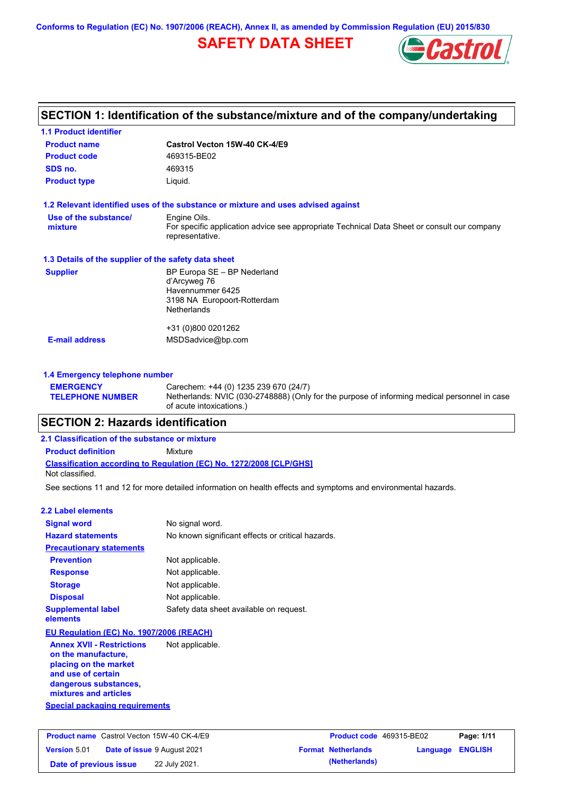**Conforms to Regulation (EC) No. 1907/2006 (REACH), Annex II, as amended by Commission Regulation (EU) 2015/830**

## **SAFETY DATA SHEET**



## **SECTION 1: Identification of the substance/mixture and of the company/undertaking**

| <b>1.1 Product identifier</b>                        |                                                                                                                |
|------------------------------------------------------|----------------------------------------------------------------------------------------------------------------|
| <b>Product name</b>                                  | Castrol Vecton 15W-40 CK-4/E9                                                                                  |
| <b>Product code</b>                                  | 469315-BE02                                                                                                    |
| SDS no.                                              | 469315                                                                                                         |
| <b>Product type</b>                                  | Liquid.                                                                                                        |
|                                                      | 1.2 Relevant identified uses of the substance or mixture and uses advised against                              |
| Use of the substance/                                | Engine Oils.                                                                                                   |
| mixture                                              | For specific application advice see appropriate Technical Data Sheet or consult our company<br>representative. |
| 1.3 Details of the supplier of the safety data sheet |                                                                                                                |
| <b>Supplier</b>                                      | BP Europa SE - BP Nederland                                                                                    |
|                                                      | d'Arcyweg 76<br>Havennummer 6425                                                                               |
|                                                      | 3198 NA Europoort-Rotterdam                                                                                    |
|                                                      | <b>Netherlands</b>                                                                                             |
|                                                      | +31 (0)800 0201262                                                                                             |
| <b>E-mail address</b>                                | MSDSadvice@bp.com                                                                                              |
|                                                      |                                                                                                                |
| 1.4 Emergency telephone number                       |                                                                                                                |

#### **EMERGENCY TELEPHONE NUMBER** Carechem: +44 (0) 1235 239 670 (24/7) Netherlands: NVIC (030-2748888) (Only for the purpose of informing medical personnel in case of acute intoxications.)

## **SECTION 2: Hazards identification**

#### **Classification according to Regulation (EC) No. 1272/2008 [CLP/GHS] 2.1 Classification of the substance or mixture Product definition** Mixture Not classified.

See sections 11 and 12 for more detailed information on health effects and symptoms and environmental hazards.

| 2.2 Label elements                                                                                                                                                                                |                                                   |
|---------------------------------------------------------------------------------------------------------------------------------------------------------------------------------------------------|---------------------------------------------------|
| <b>Signal word</b>                                                                                                                                                                                | No signal word.                                   |
| <b>Hazard statements</b>                                                                                                                                                                          | No known significant effects or critical hazards. |
| <b>Precautionary statements</b>                                                                                                                                                                   |                                                   |
| <b>Prevention</b>                                                                                                                                                                                 | Not applicable.                                   |
| <b>Response</b>                                                                                                                                                                                   | Not applicable.                                   |
| <b>Storage</b>                                                                                                                                                                                    | Not applicable.                                   |
| <b>Disposal</b>                                                                                                                                                                                   | Not applicable.                                   |
| <b>Supplemental label</b><br>elements                                                                                                                                                             | Safety data sheet available on request.           |
| EU Regulation (EC) No. 1907/2006 (REACH)                                                                                                                                                          |                                                   |
| <b>Annex XVII - Restrictions</b><br>on the manufacture,<br>placing on the market<br>and use of certain<br>dangerous substances,<br>mixtures and articles<br><b>Special packaging requirements</b> | Not applicable.                                   |
|                                                                                                                                                                                                   |                                                   |

|                        | <b>Product name</b> Castrol Vecton 15W-40 CK-4/E9 | <b>Product code</b> 469315-BE02 |                  | Page: 1/11 |
|------------------------|---------------------------------------------------|---------------------------------|------------------|------------|
| <b>Version 5.01</b>    | <b>Date of issue 9 August 2021</b>                | <b>Format Netherlands</b>       | Language ENGLISH |            |
| Date of previous issue | 22 July 2021.                                     | (Netherlands)                   |                  |            |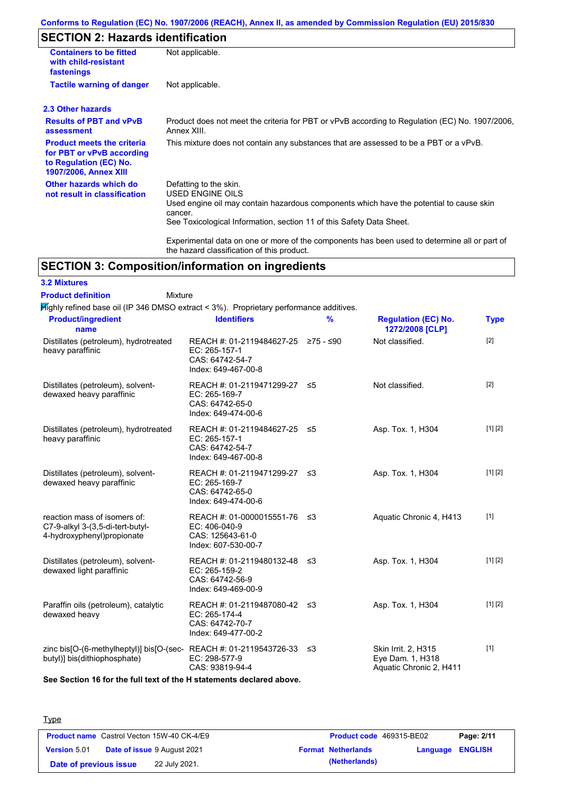### **Conforms to Regulation (EC) No. 1907/2006 (REACH), Annex II, as amended by Commission Regulation (EU) 2015/830**

## **SECTION 2: Hazards identification**

| <b>Containers to be fitted</b><br>with child-resistant<br>fastenings                                                     | Not applicable.                                                                                                                                                                                                                 |
|--------------------------------------------------------------------------------------------------------------------------|---------------------------------------------------------------------------------------------------------------------------------------------------------------------------------------------------------------------------------|
| <b>Tactile warning of danger</b>                                                                                         | Not applicable.                                                                                                                                                                                                                 |
| 2.3 Other hazards                                                                                                        |                                                                                                                                                                                                                                 |
| <b>Results of PBT and vPvB</b><br>assessment                                                                             | Product does not meet the criteria for PBT or vPvB according to Regulation (EC) No. 1907/2006,<br>Annex XIII.                                                                                                                   |
| <b>Product meets the criteria</b><br>for PBT or vPvB according<br>to Regulation (EC) No.<br><b>1907/2006, Annex XIII</b> | This mixture does not contain any substances that are assessed to be a PBT or a vPvB.                                                                                                                                           |
| Other hazards which do<br>not result in classification                                                                   | Defatting to the skin.<br><b>USED ENGINE OILS</b><br>Used engine oil may contain hazardous components which have the potential to cause skin<br>cancer.<br>See Toxicological Information, section 11 of this Safety Data Sheet. |
|                                                                                                                          | Experimental data on one or more of the components has been used to determine all or part of<br>the hazard classification of this product.                                                                                      |

## **SECTION 3: Composition/information on ingredients**

Mixture

## **3.2 Mixtures**

**Product definition**

 $H$ ighly refined base oil (IP 346 DMSO extract < 3%). Proprietary performance additives.

| <b>Product/ingredient</b><br>name                                                                          | <b>Identifiers</b>                                                                             | $\frac{9}{6}$ | <b>Regulation (EC) No.</b><br>1272/2008 [CLP]                      | <b>Type</b> |
|------------------------------------------------------------------------------------------------------------|------------------------------------------------------------------------------------------------|---------------|--------------------------------------------------------------------|-------------|
| Distillates (petroleum), hydrotreated<br>heavy paraffinic                                                  | REACH #: 01-2119484627-25 ≥75 - ≤90<br>EC: 265-157-1<br>CAS: 64742-54-7<br>Index: 649-467-00-8 |               | Not classified.                                                    | $[2]$       |
| Distillates (petroleum), solvent-<br>dewaxed heavy paraffinic                                              | REACH #: 01-2119471299-27<br>EC: 265-169-7<br>CAS: 64742-65-0<br>Index: 649-474-00-6           | ≤5            | Not classified.                                                    | $[2]$       |
| Distillates (petroleum), hydrotreated<br>heavy paraffinic                                                  | REACH #: 01-2119484627-25 ≤5<br>EC: 265-157-1<br>CAS: 64742-54-7<br>Index: 649-467-00-8        |               | Asp. Tox. 1, H304                                                  | [1] [2]     |
| Distillates (petroleum), solvent-<br>dewaxed heavy paraffinic                                              | REACH #: 01-2119471299-27 ≤3<br>EC: 265-169-7<br>CAS: 64742-65-0<br>Index: 649-474-00-6        |               | Asp. Tox. 1, H304                                                  | [1] [2]     |
| reaction mass of isomers of:<br>C7-9-alkyl 3-(3,5-di-tert-butyl-<br>4-hydroxyphenyl)propionate             | REACH #: 01-0000015551-76 ≤3<br>EC: 406-040-9<br>CAS: 125643-61-0<br>Index: 607-530-00-7       |               | Aquatic Chronic 4, H413                                            | $[1]$       |
| Distillates (petroleum), solvent-<br>dewaxed light paraffinic                                              | REACH #: 01-2119480132-48 ≤3<br>EC: 265-159-2<br>CAS: 64742-56-9<br>Index: 649-469-00-9        |               | Asp. Tox. 1, H304                                                  | [1] [2]     |
| Paraffin oils (petroleum), catalytic<br>dewaxed heavy                                                      | REACH #: 01-2119487080-42 ≤3<br>EC: 265-174-4<br>CAS: 64742-70-7<br>Index: 649-477-00-2        |               | Asp. Tox. 1, H304                                                  | [1] [2]     |
| zinc bis[O-(6-methylheptyl)] bis[O-(sec-REACH #: 01-2119543726-33 $\leq$ 3<br>butyl)] bis(dithiophosphate) | EC: 298-577-9<br>CAS: 93819-94-4                                                               |               | Skin Irrit. 2, H315<br>Eye Dam. 1, H318<br>Aquatic Chronic 2, H411 | $[1]$       |

**See Section 16 for the full text of the H statements declared above.**

| <b>Type</b>                                       |               |                           |                          |            |
|---------------------------------------------------|---------------|---------------------------|--------------------------|------------|
| <b>Product name</b> Castrol Vecton 15W-40 CK-4/E9 |               |                           | Product code 469315-BE02 | Page: 2/11 |
| Date of issue 9 August 2021<br>Version 5.01       |               | <b>Format Netherlands</b> | <b>Language ENGLISH</b>  |            |
| Date of previous issue                            | 22 July 2021. | (Netherlands)             |                          |            |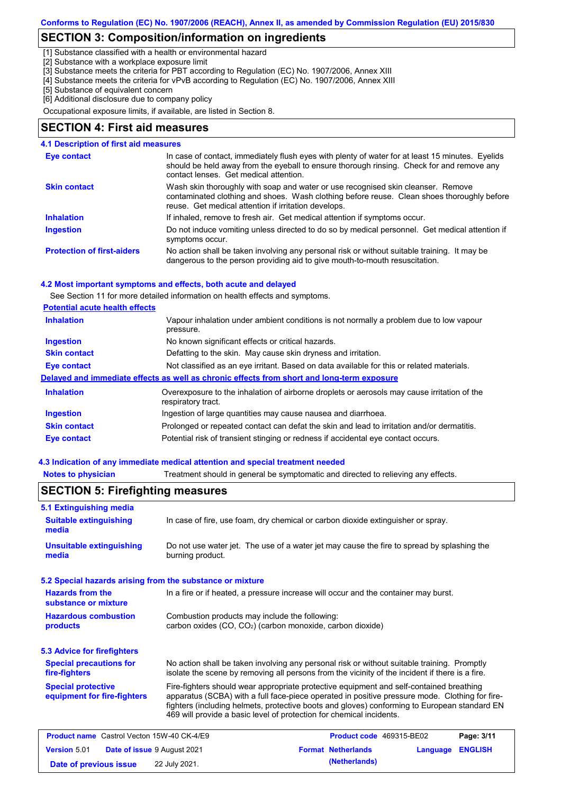## **SECTION 3: Composition/information on ingredients**

[1] Substance classified with a health or environmental hazard

[2] Substance with a workplace exposure limit

[3] Substance meets the criteria for PBT according to Regulation (EC) No. 1907/2006, Annex XIII

- [4] Substance meets the criteria for vPvB according to Regulation (EC) No. 1907/2006, Annex XIII
- [5] Substance of equivalent concern

[6] Additional disclosure due to company policy

Occupational exposure limits, if available, are listed in Section 8.

### **SECTION 4: First aid measures**

#### **4.1 Description of first aid measures**

| <b>Eye contact</b>                | In case of contact, immediately flush eyes with plenty of water for at least 15 minutes. Eyelids<br>should be held away from the eyeball to ensure thorough rinsing. Check for and remove any<br>contact lenses. Get medical attention. |  |
|-----------------------------------|-----------------------------------------------------------------------------------------------------------------------------------------------------------------------------------------------------------------------------------------|--|
| <b>Skin contact</b>               | Wash skin thoroughly with soap and water or use recognised skin cleanser. Remove<br>contaminated clothing and shoes. Wash clothing before reuse. Clean shoes thoroughly before<br>reuse. Get medical attention if irritation develops.  |  |
| <b>Inhalation</b>                 | If inhaled, remove to fresh air. Get medical attention if symptoms occur.                                                                                                                                                               |  |
| <b>Ingestion</b>                  | Do not induce vomiting unless directed to do so by medical personnel. Get medical attention if<br>symptoms occur.                                                                                                                       |  |
| <b>Protection of first-aiders</b> | No action shall be taken involving any personal risk or without suitable training. It may be<br>dangerous to the person providing aid to give mouth-to-mouth resuscitation.                                                             |  |

#### **4.2 Most important symptoms and effects, both acute and delayed**

See Section 11 for more detailed information on health effects and symptoms.

#### **Potential acute health effects**

| <b>Inhalation</b>   | Vapour inhalation under ambient conditions is not normally a problem due to low vapour<br>pressure.               |  |  |
|---------------------|-------------------------------------------------------------------------------------------------------------------|--|--|
| <b>Ingestion</b>    | No known significant effects or critical hazards.                                                                 |  |  |
| <b>Skin contact</b> | Defatting to the skin. May cause skin dryness and irritation.                                                     |  |  |
| Eye contact         | Not classified as an eye irritant. Based on data available for this or related materials.                         |  |  |
|                     | Delayed and immediate effects as well as chronic effects from short and long-term exposure                        |  |  |
| <b>Inhalation</b>   | Overexposure to the inhalation of airborne droplets or aerosols may cause irritation of the<br>respiratory tract. |  |  |
| <b>Ingestion</b>    | Ingestion of large quantities may cause nausea and diarrhoea.                                                     |  |  |
| <b>Skin contact</b> | Prolonged or repeated contact can defat the skin and lead to irritation and/or dermatitis.                        |  |  |
| Eye contact         | Potential risk of transient stinging or redness if accidental eye contact occurs.                                 |  |  |

#### **4.3 Indication of any immediate medical attention and special treatment needed**

**Notes to physician** Treatment should in general be symptomatic and directed to relieving any effects.

#### No action shall be taken involving any personal risk or without suitable training. Promptly isolate the scene by removing all persons from the vicinity of the incident if there is a fire. **Hazardous combustion products Hazards from the substance or mixture** Combustion products may include the following: carbon oxides (CO, CO<sub>2</sub>) (carbon monoxide, carbon dioxide) In a fire or if heated, a pressure increase will occur and the container may burst. Fire-fighters should wear appropriate protective equipment and self-contained breathing apparatus (SCBA) with a full face-piece operated in positive pressure mode. Clothing for firefighters (including helmets, protective boots and gloves) conforming to European standard EN 469 will provide a basic level of protection for chemical incidents. **Special protective equipment for fire-fighters** In case of fire, use foam, dry chemical or carbon dioxide extinguisher or spray. **5.1 Extinguishing media** Do not use water jet. The use of a water jet may cause the fire to spread by splashing the burning product. **Suitable extinguishing media Unsuitable extinguishing media SECTION 5: Firefighting measures 5.2 Special hazards arising from the substance or mixture 5.3 Advice for firefighters Special precautions for fire-fighters Product name** Castrol Vecton 15W-40 CK-4/E9 **Product Code 469315-BE02 Page: 3/11 Version** 5.01 **Date of issue** 9 August 2021 **Format Netherlands Language ENGLISH Date of previous issue 22 July 2021. (Netherlands) (Netherlands)**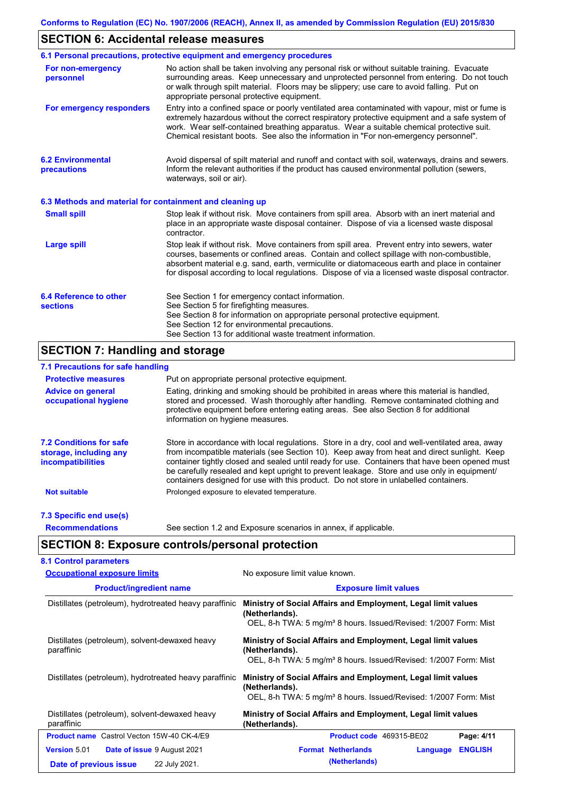## **SECTION 6: Accidental release measures**

|                                                          | 6.1 Personal precautions, protective equipment and emergency procedures                                                                                                                                                                                                                                                                                                                        |  |
|----------------------------------------------------------|------------------------------------------------------------------------------------------------------------------------------------------------------------------------------------------------------------------------------------------------------------------------------------------------------------------------------------------------------------------------------------------------|--|
| For non-emergency<br>personnel                           | No action shall be taken involving any personal risk or without suitable training. Evacuate<br>surrounding areas. Keep unnecessary and unprotected personnel from entering. Do not touch<br>or walk through spilt material. Floors may be slippery; use care to avoid falling. Put on<br>appropriate personal protective equipment.                                                            |  |
| For emergency responders                                 | Entry into a confined space or poorly ventilated area contaminated with vapour, mist or fume is<br>extremely hazardous without the correct respiratory protective equipment and a safe system of<br>work. Wear self-contained breathing apparatus. Wear a suitable chemical protective suit.<br>Chemical resistant boots. See also the information in "For non-emergency personnel".           |  |
| <b>6.2 Environmental</b><br>precautions                  | Avoid dispersal of spilt material and runoff and contact with soil, waterways, drains and sewers.<br>Inform the relevant authorities if the product has caused environmental pollution (sewers,<br>waterways, soil or air).                                                                                                                                                                    |  |
| 6.3 Methods and material for containment and cleaning up |                                                                                                                                                                                                                                                                                                                                                                                                |  |
| <b>Small spill</b>                                       | Stop leak if without risk. Move containers from spill area. Absorb with an inert material and<br>place in an appropriate waste disposal container. Dispose of via a licensed waste disposal<br>contractor.                                                                                                                                                                                     |  |
| <b>Large spill</b>                                       | Stop leak if without risk. Move containers from spill area. Prevent entry into sewers, water<br>courses, basements or confined areas. Contain and collect spillage with non-combustible,<br>absorbent material e.g. sand, earth, vermiculite or diatomaceous earth and place in container<br>for disposal according to local regulations. Dispose of via a licensed waste disposal contractor. |  |
| 6.4 Reference to other<br><b>sections</b>                | See Section 1 for emergency contact information.<br>See Section 5 for firefighting measures.<br>See Section 8 for information on appropriate personal protective equipment.<br>See Section 12 for environmental precautions.<br>See Section 13 for additional waste treatment information.                                                                                                     |  |

## **SECTION 7: Handling and storage**

### **7.1 Precautions for safe handling**

| <b>Protective measures</b>                                                           | Put on appropriate personal protective equipment.                                                                                                                                                                                                                                                                                                                                                                                                                                        |  |  |  |  |  |
|--------------------------------------------------------------------------------------|------------------------------------------------------------------------------------------------------------------------------------------------------------------------------------------------------------------------------------------------------------------------------------------------------------------------------------------------------------------------------------------------------------------------------------------------------------------------------------------|--|--|--|--|--|
| <b>Advice on general</b><br>occupational hygiene                                     | Eating, drinking and smoking should be prohibited in areas where this material is handled,<br>stored and processed. Wash thoroughly after handling. Remove contaminated clothing and<br>protective equipment before entering eating areas. See also Section 8 for additional<br>information on hygiene measures.                                                                                                                                                                         |  |  |  |  |  |
| <b>7.2 Conditions for safe</b><br>storage, including any<br><i>incompatibilities</i> | Store in accordance with local requiations. Store in a dry, cool and well-ventilated area, away<br>from incompatible materials (see Section 10). Keep away from heat and direct sunlight. Keep<br>container tightly closed and sealed until ready for use. Containers that have been opened must<br>be carefully resealed and kept upright to prevent leakage. Store and use only in equipment/<br>containers designed for use with this product. Do not store in unlabelled containers. |  |  |  |  |  |
| <b>Not suitable</b>                                                                  | Prolonged exposure to elevated temperature.                                                                                                                                                                                                                                                                                                                                                                                                                                              |  |  |  |  |  |
| 7.3 Specific end use(s)                                                              |                                                                                                                                                                                                                                                                                                                                                                                                                                                                                          |  |  |  |  |  |
| <b>Recommendations</b>                                                               | See section 1.2 and Exposure scenarios in annex, if applicable.                                                                                                                                                                                                                                                                                                                                                                                                                          |  |  |  |  |  |

**SECTION 8: Exposure controls/personal protection**

| <b>Occupational exposure limits</b>                          | No exposure limit value known.                                                                                                                                  |  |  |
|--------------------------------------------------------------|-----------------------------------------------------------------------------------------------------------------------------------------------------------------|--|--|
| <b>Product/ingredient name</b>                               | <b>Exposure limit values</b>                                                                                                                                    |  |  |
| Distillates (petroleum), hydrotreated heavy paraffinic       | Ministry of Social Affairs and Employment, Legal limit values<br>(Netherlands).<br>OEL, 8-h TWA: 5 mg/m <sup>3</sup> 8 hours. Issued/Revised: 1/2007 Form: Mist |  |  |
| Distillates (petroleum), solvent-dewaxed heavy<br>paraffinic | Ministry of Social Affairs and Employment, Legal limit values<br>(Netherlands).<br>OEL, 8-h TWA: 5 mg/m <sup>3</sup> 8 hours. Issued/Revised: 1/2007 Form: Mist |  |  |
| Distillates (petroleum), hydrotreated heavy paraffinic       | Ministry of Social Affairs and Employment, Legal limit values<br>(Netherlands).<br>OEL, 8-h TWA: 5 mg/m <sup>3</sup> 8 hours. Issued/Revised: 1/2007 Form: Mist |  |  |
| Distillates (petroleum), solvent-dewaxed heavy<br>paraffinic | Ministry of Social Affairs and Employment, Legal limit values<br>(Netherlands).                                                                                 |  |  |
| Product name Castrol Vecton 15W-40 CK-4/E9                   | Product code 469315-BE02<br>Page: 4/11                                                                                                                          |  |  |
| <b>Version 5.01</b><br><b>Date of issue 9 August 2021</b>    | <b>Format Netherlands</b><br><b>ENGLISH</b><br>Language                                                                                                         |  |  |
| 22 July 2021.<br>Date of previous issue                      | (Netherlands)                                                                                                                                                   |  |  |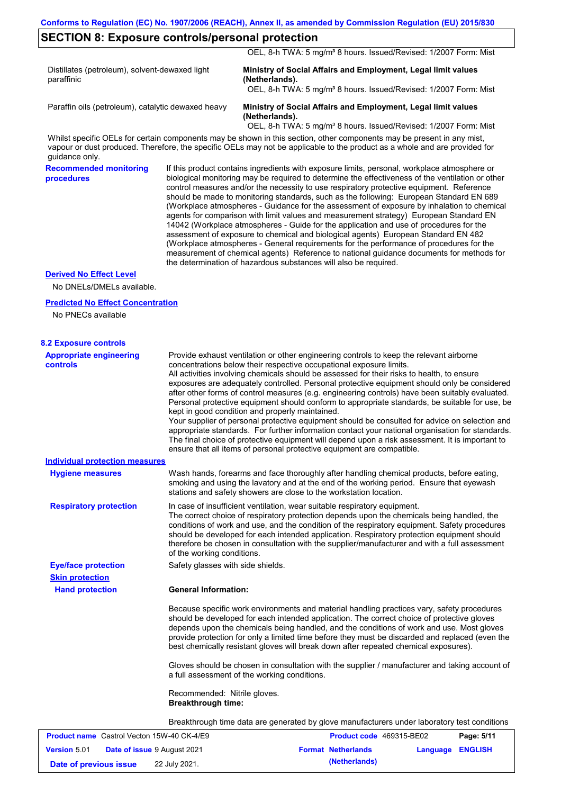|  | <b>SECTION 8: Exposure controls/personal protection</b> |  |
|--|---------------------------------------------------------|--|
|--|---------------------------------------------------------|--|

OEL, 8-h TWA: 5 mg/m<sup>3</sup> 8 hours. Issued/Revised: 1/2007 Form: Mist

Distillates (petroleum), solvent-dewaxed light paraffinic

**Ministry of Social Affairs and Employment, Legal limit values (Netherlands).**

OEL, 8-h TWA: 5 mg/m<sup>3</sup> 8 hours. Issued/Revised: 1/2007 Form: Mist

Paraffin oils (petroleum), catalytic dewaxed heavy **Ministry of Social Affairs and Employment, Legal limit values (Netherlands).**

OEL, 8-h TWA: 5 mg/m<sup>3</sup> 8 hours. Issued/Revised: 1/2007 Form: Mist

Whilst specific OELs for certain components may be shown in this section, other components may be present in any mist, vapour or dust produced. Therefore, the specific OELs may not be applicable to the product as a whole and are provided for guidance only.

**Recommended monitoring procedures**

If this product contains ingredients with exposure limits, personal, workplace atmosphere or biological monitoring may be required to determine the effectiveness of the ventilation or other control measures and/or the necessity to use respiratory protective equipment. Reference should be made to monitoring standards, such as the following: European Standard EN 689 (Workplace atmospheres - Guidance for the assessment of exposure by inhalation to chemical agents for comparison with limit values and measurement strategy) European Standard EN 14042 (Workplace atmospheres - Guide for the application and use of procedures for the assessment of exposure to chemical and biological agents) European Standard EN 482 (Workplace atmospheres - General requirements for the performance of procedures for the measurement of chemical agents) Reference to national guidance documents for methods for the determination of hazardous substances will also be required.

#### **Derived No Effect Level**

No DNELs/DMELs available.

#### **Predicted No Effect Concentration**

No PNECs available

| <b>8.2 Exposure controls</b>                      |                                                                                                                                                                                                                                                                                                                                                                                                                                                                                                                                                                                                                                                                                                                                                                                                                                                                                                                                                                                                         |
|---------------------------------------------------|---------------------------------------------------------------------------------------------------------------------------------------------------------------------------------------------------------------------------------------------------------------------------------------------------------------------------------------------------------------------------------------------------------------------------------------------------------------------------------------------------------------------------------------------------------------------------------------------------------------------------------------------------------------------------------------------------------------------------------------------------------------------------------------------------------------------------------------------------------------------------------------------------------------------------------------------------------------------------------------------------------|
| <b>Appropriate engineering</b><br><b>controls</b> | Provide exhaust ventilation or other engineering controls to keep the relevant airborne<br>concentrations below their respective occupational exposure limits.<br>All activities involving chemicals should be assessed for their risks to health, to ensure<br>exposures are adequately controlled. Personal protective equipment should only be considered<br>after other forms of control measures (e.g. engineering controls) have been suitably evaluated.<br>Personal protective equipment should conform to appropriate standards, be suitable for use, be<br>kept in good condition and properly maintained.<br>Your supplier of personal protective equipment should be consulted for advice on selection and<br>appropriate standards. For further information contact your national organisation for standards.<br>The final choice of protective equipment will depend upon a risk assessment. It is important to<br>ensure that all items of personal protective equipment are compatible. |
| <b>Individual protection measures</b>             |                                                                                                                                                                                                                                                                                                                                                                                                                                                                                                                                                                                                                                                                                                                                                                                                                                                                                                                                                                                                         |
| <b>Hygiene measures</b>                           | Wash hands, forearms and face thoroughly after handling chemical products, before eating,<br>smoking and using the lavatory and at the end of the working period. Ensure that eyewash<br>stations and safety showers are close to the workstation location.                                                                                                                                                                                                                                                                                                                                                                                                                                                                                                                                                                                                                                                                                                                                             |
| <b>Respiratory protection</b>                     | In case of insufficient ventilation, wear suitable respiratory equipment.<br>The correct choice of respiratory protection depends upon the chemicals being handled, the<br>conditions of work and use, and the condition of the respiratory equipment. Safety procedures<br>should be developed for each intended application. Respiratory protection equipment should<br>therefore be chosen in consultation with the supplier/manufacturer and with a full assessment<br>of the working conditions.                                                                                                                                                                                                                                                                                                                                                                                                                                                                                                   |
| <b>Eye/face protection</b>                        | Safety glasses with side shields.                                                                                                                                                                                                                                                                                                                                                                                                                                                                                                                                                                                                                                                                                                                                                                                                                                                                                                                                                                       |
| <b>Skin protection</b>                            |                                                                                                                                                                                                                                                                                                                                                                                                                                                                                                                                                                                                                                                                                                                                                                                                                                                                                                                                                                                                         |
| <b>Hand protection</b>                            | <b>General Information:</b>                                                                                                                                                                                                                                                                                                                                                                                                                                                                                                                                                                                                                                                                                                                                                                                                                                                                                                                                                                             |
|                                                   | Because specific work environments and material handling practices vary, safety procedures<br>should be developed for each intended application. The correct choice of protective gloves<br>depends upon the chemicals being handled, and the conditions of work and use. Most gloves<br>provide protection for only a limited time before they must be discarded and replaced (even the<br>best chemically resistant gloves will break down after repeated chemical exposures).                                                                                                                                                                                                                                                                                                                                                                                                                                                                                                                        |
|                                                   | Gloves should be chosen in consultation with the supplier / manufacturer and taking account of<br>a full assessment of the working conditions.                                                                                                                                                                                                                                                                                                                                                                                                                                                                                                                                                                                                                                                                                                                                                                                                                                                          |
|                                                   | Recommended: Nitrile gloves.<br><b>Breakthrough time:</b>                                                                                                                                                                                                                                                                                                                                                                                                                                                                                                                                                                                                                                                                                                                                                                                                                                                                                                                                               |
|                                                   | Breakthrough time data are generated by glove manufacturers under laboratory test conditions                                                                                                                                                                                                                                                                                                                                                                                                                                                                                                                                                                                                                                                                                                                                                                                                                                                                                                            |
| <b>Product name</b> Castrol Vecton 15W-40 CK-4/E9 | <b>Product code</b> 469315-BE02<br>Page: 5/11                                                                                                                                                                                                                                                                                                                                                                                                                                                                                                                                                                                                                                                                                                                                                                                                                                                                                                                                                           |
| Version 5.01                                      | Date of issue 9 August 2021<br><b>Format Netherlands</b><br>Language ENGLISH                                                                                                                                                                                                                                                                                                                                                                                                                                                                                                                                                                                                                                                                                                                                                                                                                                                                                                                            |
| Date of previous issue                            | (Netherlands)<br>22 July 2021.                                                                                                                                                                                                                                                                                                                                                                                                                                                                                                                                                                                                                                                                                                                                                                                                                                                                                                                                                                          |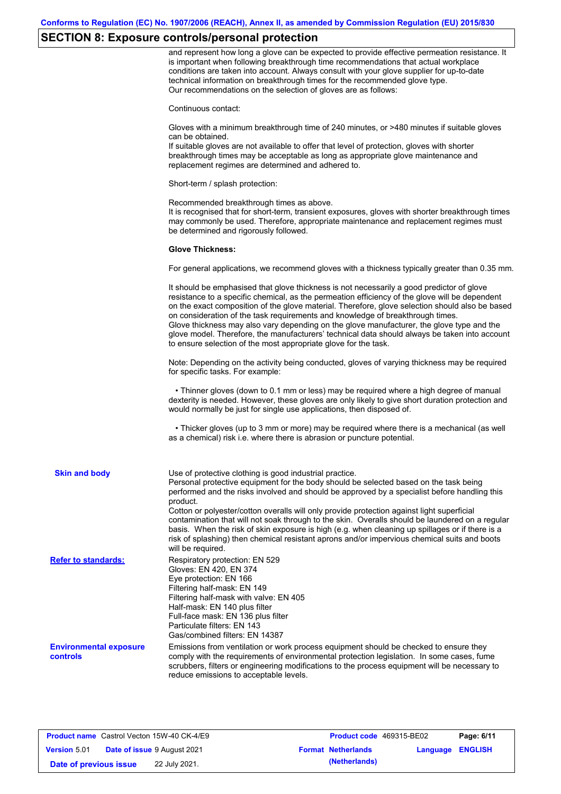# **SECTION 8: Exposure controls/personal protection**

|                                           | and represent how long a glove can be expected to provide effective permeation resistance. It<br>is important when following breakthrough time recommendations that actual workplace<br>conditions are taken into account. Always consult with your glove supplier for up-to-date<br>technical information on breakthrough times for the recommended glove type.<br>Our recommendations on the selection of gloves are as follows:                                                                                                                                                                                                                |
|-------------------------------------------|---------------------------------------------------------------------------------------------------------------------------------------------------------------------------------------------------------------------------------------------------------------------------------------------------------------------------------------------------------------------------------------------------------------------------------------------------------------------------------------------------------------------------------------------------------------------------------------------------------------------------------------------------|
|                                           | Continuous contact:                                                                                                                                                                                                                                                                                                                                                                                                                                                                                                                                                                                                                               |
|                                           | Gloves with a minimum breakthrough time of 240 minutes, or >480 minutes if suitable gloves<br>can be obtained.                                                                                                                                                                                                                                                                                                                                                                                                                                                                                                                                    |
|                                           | If suitable gloves are not available to offer that level of protection, gloves with shorter<br>breakthrough times may be acceptable as long as appropriate glove maintenance and<br>replacement regimes are determined and adhered to.                                                                                                                                                                                                                                                                                                                                                                                                            |
|                                           | Short-term / splash protection:                                                                                                                                                                                                                                                                                                                                                                                                                                                                                                                                                                                                                   |
|                                           | Recommended breakthrough times as above.<br>It is recognised that for short-term, transient exposures, gloves with shorter breakthrough times<br>may commonly be used. Therefore, appropriate maintenance and replacement regimes must<br>be determined and rigorously followed.                                                                                                                                                                                                                                                                                                                                                                  |
|                                           | <b>Glove Thickness:</b>                                                                                                                                                                                                                                                                                                                                                                                                                                                                                                                                                                                                                           |
|                                           | For general applications, we recommend gloves with a thickness typically greater than 0.35 mm.                                                                                                                                                                                                                                                                                                                                                                                                                                                                                                                                                    |
|                                           | It should be emphasised that glove thickness is not necessarily a good predictor of glove<br>resistance to a specific chemical, as the permeation efficiency of the glove will be dependent<br>on the exact composition of the glove material. Therefore, glove selection should also be based<br>on consideration of the task requirements and knowledge of breakthrough times.<br>Glove thickness may also vary depending on the glove manufacturer, the glove type and the<br>glove model. Therefore, the manufacturers' technical data should always be taken into account<br>to ensure selection of the most appropriate glove for the task. |
|                                           | Note: Depending on the activity being conducted, gloves of varying thickness may be required<br>for specific tasks. For example:                                                                                                                                                                                                                                                                                                                                                                                                                                                                                                                  |
|                                           | • Thinner gloves (down to 0.1 mm or less) may be required where a high degree of manual<br>dexterity is needed. However, these gloves are only likely to give short duration protection and<br>would normally be just for single use applications, then disposed of.                                                                                                                                                                                                                                                                                                                                                                              |
|                                           | • Thicker gloves (up to 3 mm or more) may be required where there is a mechanical (as well<br>as a chemical) risk i.e. where there is abrasion or puncture potential.                                                                                                                                                                                                                                                                                                                                                                                                                                                                             |
| <b>Skin and body</b>                      | Use of protective clothing is good industrial practice.<br>Personal protective equipment for the body should be selected based on the task being<br>performed and the risks involved and should be approved by a specialist before handling this<br>product.                                                                                                                                                                                                                                                                                                                                                                                      |
|                                           | Cotton or polyester/cotton overalls will only provide protection against light superficial<br>contamination that will not soak through to the skin. Overalls should be laundered on a regular<br>basis. When the risk of skin exposure is high (e.g. when cleaning up spillages or if there is a<br>risk of splashing) then chemical resistant aprons and/or impervious chemical suits and boots<br>will be required.                                                                                                                                                                                                                             |
| <b>Refer to standards:</b>                | Respiratory protection: EN 529<br>Gloves: EN 420, EN 374<br>Eye protection: EN 166<br>Filtering half-mask: EN 149<br>Filtering half-mask with valve: EN 405<br>Half-mask: EN 140 plus filter<br>Full-face mask: EN 136 plus filter<br>Particulate filters: EN 143<br>Gas/combined filters: EN 14387                                                                                                                                                                                                                                                                                                                                               |
| <b>Environmental exposure</b><br>controls | Emissions from ventilation or work process equipment should be checked to ensure they<br>comply with the requirements of environmental protection legislation. In some cases, fume<br>scrubbers, filters or engineering modifications to the process equipment will be necessary to<br>reduce emissions to acceptable levels.                                                                                                                                                                                                                                                                                                                     |

|                        | <b>Product name</b> Castrol Vecton 15W-40 CK-4/E9 | <b>Product code</b> 469315-BE02 |                         | Page: 6/11 |
|------------------------|---------------------------------------------------|---------------------------------|-------------------------|------------|
| <b>Version 5.01</b>    | <b>Date of issue 9 August 2021</b>                | <b>Format Netherlands</b>       | <b>Language ENGLISH</b> |            |
| Date of previous issue | 22 July 2021.                                     | (Netherlands)                   |                         |            |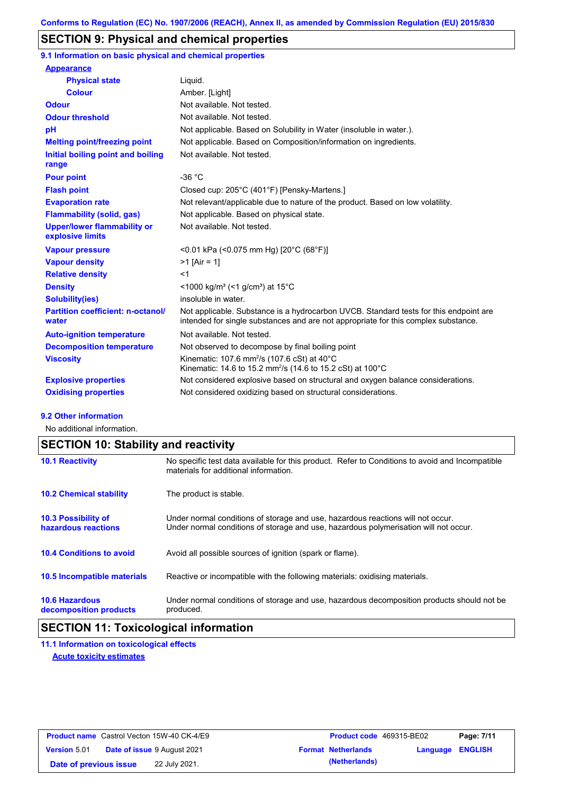## **SECTION 9: Physical and chemical properties**

**9.1 Information on basic physical and chemical properties**

| <b>Appearance</b>                                      |                                                                                                                                                                             |
|--------------------------------------------------------|-----------------------------------------------------------------------------------------------------------------------------------------------------------------------------|
| <b>Physical state</b>                                  | Liquid.                                                                                                                                                                     |
| <b>Colour</b>                                          | Amber. [Light]                                                                                                                                                              |
| <b>Odour</b>                                           | Not available. Not tested.                                                                                                                                                  |
| <b>Odour threshold</b>                                 | Not available. Not tested.                                                                                                                                                  |
| pH                                                     | Not applicable. Based on Solubility in Water (insoluble in water.).                                                                                                         |
| <b>Melting point/freezing point</b>                    | Not applicable. Based on Composition/information on ingredients.                                                                                                            |
| Initial boiling point and boiling<br>range             | Not available. Not tested.                                                                                                                                                  |
| <b>Pour point</b>                                      | $-36 °C$                                                                                                                                                                    |
| <b>Flash point</b>                                     | Closed cup: 205°C (401°F) [Pensky-Martens.]                                                                                                                                 |
| <b>Evaporation rate</b>                                | Not relevant/applicable due to nature of the product. Based on low volatility.                                                                                              |
| <b>Flammability (solid, gas)</b>                       | Not applicable. Based on physical state.                                                                                                                                    |
| <b>Upper/lower flammability or</b><br>explosive limits | Not available. Not tested.                                                                                                                                                  |
| <b>Vapour pressure</b>                                 | <0.01 kPa (<0.075 mm Hg) [20°C (68°F)]                                                                                                                                      |
| <b>Vapour density</b>                                  | $>1$ [Air = 1]                                                                                                                                                              |
| <b>Relative density</b>                                | $<$ 1                                                                                                                                                                       |
| <b>Density</b>                                         | $\leq$ 1000 kg/m <sup>3</sup> (<1 g/cm <sup>3</sup> ) at 15 <sup>°</sup> C                                                                                                  |
| <b>Solubility(ies)</b>                                 | insoluble in water.                                                                                                                                                         |
| <b>Partition coefficient: n-octanol/</b><br>water      | Not applicable. Substance is a hydrocarbon UVCB. Standard tests for this endpoint are<br>intended for single substances and are not appropriate for this complex substance. |
| <b>Auto-ignition temperature</b>                       | Not available. Not tested.                                                                                                                                                  |
| <b>Decomposition temperature</b>                       | Not observed to decompose by final boiling point                                                                                                                            |
| <b>Viscosity</b>                                       | Kinematic: 107.6 mm <sup>2</sup> /s (107.6 cSt) at 40°C<br>Kinematic: 14.6 to 15.2 mm <sup>2</sup> /s (14.6 to 15.2 cSt) at 100 °C                                          |
| <b>Explosive properties</b>                            | Not considered explosive based on structural and oxygen balance considerations.                                                                                             |
| <b>Oxidising properties</b>                            | Not considered oxidizing based on structural considerations.                                                                                                                |

#### **9.2 Other information**

No additional information.

## **SECTION 10: Stability and reactivity**

| <b>10.1 Reactivity</b>                            | No specific test data available for this product. Refer to Conditions to avoid and Incompatible<br>materials for additional information.                                |
|---------------------------------------------------|-------------------------------------------------------------------------------------------------------------------------------------------------------------------------|
| <b>10.2 Chemical stability</b>                    | The product is stable.                                                                                                                                                  |
| <b>10.3 Possibility of</b><br>hazardous reactions | Under normal conditions of storage and use, hazardous reactions will not occur.<br>Under normal conditions of storage and use, hazardous polymerisation will not occur. |
| <b>10.4 Conditions to avoid</b>                   | Avoid all possible sources of ignition (spark or flame).                                                                                                                |
| <b>10.5 Incompatible materials</b>                | Reactive or incompatible with the following materials: oxidising materials.                                                                                             |
| <b>10.6 Hazardous</b><br>decomposition products   | Under normal conditions of storage and use, hazardous decomposition products should not be<br>produced.                                                                 |

## **SECTION 11: Toxicological information**

**11.1 Information on toxicological effects Acute toxicity estimates**

| <b>Product name</b> Castrol Vecton 15W-40 CK-4/E9 |  | <b>Product code</b> 469315-BE02    |  | Page: 7/11                |                         |  |
|---------------------------------------------------|--|------------------------------------|--|---------------------------|-------------------------|--|
| <b>Version 5.01</b>                               |  | <b>Date of issue 9 August 2021</b> |  | <b>Format Netherlands</b> | <b>Language ENGLISH</b> |  |
| Date of previous issue                            |  | 22 July 2021.                      |  | (Netherlands)             |                         |  |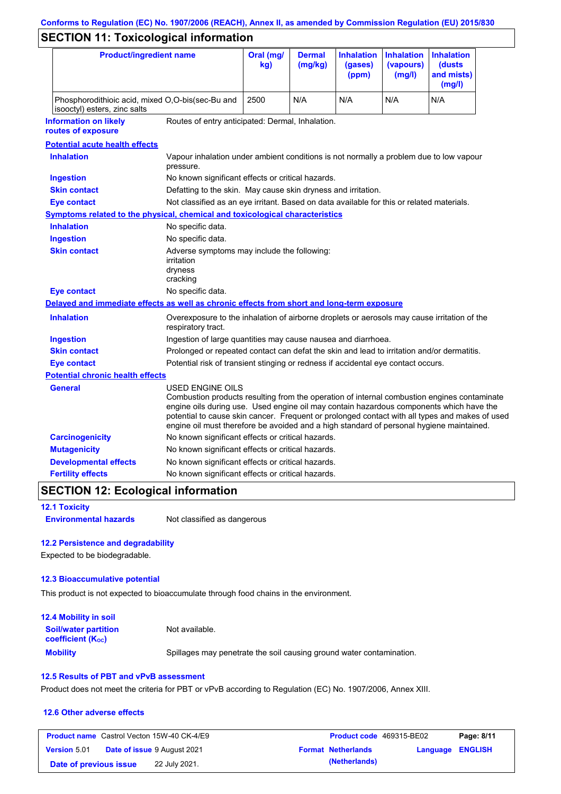# **Conforms to Regulation (EC) No. 1907/2006 (REACH), Annex II, as amended by Commission Regulation (EU) 2015/830**

# **SECTION 11: Toxicological information**

| <b>Product/ingredient name</b>                                                                         |                                                                                                                                                                                                                                                                                                                                                                                                          | Oral (mg/<br>kg)                                                                           | <b>Dermal</b><br>(mg/kg) | <b>Inhalation</b><br>(gases)<br>(ppm) | <b>Inhalation</b><br>(vapours)<br>(mg/l) | <b>Inhalation</b><br>(dusts)<br>and mists)<br>(mg/l) |
|--------------------------------------------------------------------------------------------------------|----------------------------------------------------------------------------------------------------------------------------------------------------------------------------------------------------------------------------------------------------------------------------------------------------------------------------------------------------------------------------------------------------------|--------------------------------------------------------------------------------------------|--------------------------|---------------------------------------|------------------------------------------|------------------------------------------------------|
| Phosphorodithioic acid, mixed O,O-bis(sec-Bu and<br>isooctyl) esters, zinc salts                       |                                                                                                                                                                                                                                                                                                                                                                                                          | 2500                                                                                       | N/A                      | N/A                                   | N/A                                      | N/A                                                  |
| <b>Information on likely</b><br>Routes of entry anticipated: Dermal, Inhalation.<br>routes of exposure |                                                                                                                                                                                                                                                                                                                                                                                                          |                                                                                            |                          |                                       |                                          |                                                      |
| <b>Potential acute health effects</b>                                                                  |                                                                                                                                                                                                                                                                                                                                                                                                          |                                                                                            |                          |                                       |                                          |                                                      |
| <b>Inhalation</b>                                                                                      | Vapour inhalation under ambient conditions is not normally a problem due to low vapour<br>pressure.                                                                                                                                                                                                                                                                                                      |                                                                                            |                          |                                       |                                          |                                                      |
| <b>Ingestion</b>                                                                                       | No known significant effects or critical hazards.                                                                                                                                                                                                                                                                                                                                                        |                                                                                            |                          |                                       |                                          |                                                      |
| <b>Skin contact</b>                                                                                    | Defatting to the skin. May cause skin dryness and irritation.                                                                                                                                                                                                                                                                                                                                            |                                                                                            |                          |                                       |                                          |                                                      |
| <b>Eye contact</b>                                                                                     | Not classified as an eye irritant. Based on data available for this or related materials.                                                                                                                                                                                                                                                                                                                |                                                                                            |                          |                                       |                                          |                                                      |
| <b>Symptoms related to the physical, chemical and toxicological characteristics</b>                    |                                                                                                                                                                                                                                                                                                                                                                                                          |                                                                                            |                          |                                       |                                          |                                                      |
| <b>Inhalation</b>                                                                                      | No specific data.                                                                                                                                                                                                                                                                                                                                                                                        |                                                                                            |                          |                                       |                                          |                                                      |
| <b>Ingestion</b>                                                                                       | No specific data.                                                                                                                                                                                                                                                                                                                                                                                        |                                                                                            |                          |                                       |                                          |                                                      |
| <b>Skin contact</b>                                                                                    | Adverse symptoms may include the following:<br>irritation<br>dryness<br>cracking                                                                                                                                                                                                                                                                                                                         |                                                                                            |                          |                                       |                                          |                                                      |
| <b>Eye contact</b>                                                                                     | No specific data.                                                                                                                                                                                                                                                                                                                                                                                        |                                                                                            |                          |                                       |                                          |                                                      |
| Delayed and immediate effects as well as chronic effects from short and long-term exposure             |                                                                                                                                                                                                                                                                                                                                                                                                          |                                                                                            |                          |                                       |                                          |                                                      |
| <b>Inhalation</b>                                                                                      | Overexposure to the inhalation of airborne droplets or aerosols may cause irritation of the<br>respiratory tract.                                                                                                                                                                                                                                                                                        |                                                                                            |                          |                                       |                                          |                                                      |
| <b>Ingestion</b>                                                                                       | Ingestion of large quantities may cause nausea and diarrhoea.                                                                                                                                                                                                                                                                                                                                            |                                                                                            |                          |                                       |                                          |                                                      |
| <b>Skin contact</b>                                                                                    |                                                                                                                                                                                                                                                                                                                                                                                                          | Prolonged or repeated contact can defat the skin and lead to irritation and/or dermatitis. |                          |                                       |                                          |                                                      |
| <b>Eye contact</b>                                                                                     | Potential risk of transient stinging or redness if accidental eye contact occurs.                                                                                                                                                                                                                                                                                                                        |                                                                                            |                          |                                       |                                          |                                                      |
| <b>Potential chronic health effects</b>                                                                |                                                                                                                                                                                                                                                                                                                                                                                                          |                                                                                            |                          |                                       |                                          |                                                      |
| General                                                                                                | USED ENGINE OILS<br>Combustion products resulting from the operation of internal combustion engines contaminate<br>engine oils during use. Used engine oil may contain hazardous components which have the<br>potential to cause skin cancer. Frequent or prolonged contact with all types and makes of used<br>engine oil must therefore be avoided and a high standard of personal hygiene maintained. |                                                                                            |                          |                                       |                                          |                                                      |
| <b>Carcinogenicity</b>                                                                                 | No known significant effects or critical hazards.                                                                                                                                                                                                                                                                                                                                                        |                                                                                            |                          |                                       |                                          |                                                      |
| <b>Mutagenicity</b>                                                                                    | No known significant effects or critical hazards.                                                                                                                                                                                                                                                                                                                                                        |                                                                                            |                          |                                       |                                          |                                                      |
| <b>Developmental effects</b>                                                                           | No known significant effects or critical hazards.                                                                                                                                                                                                                                                                                                                                                        |                                                                                            |                          |                                       |                                          |                                                      |
| <b>Fertility effects</b>                                                                               | No known significant effects or critical hazards.                                                                                                                                                                                                                                                                                                                                                        |                                                                                            |                          |                                       |                                          |                                                      |

## **SECTION 12: Ecological information**

**12.1 Toxicity**

**Environmental hazards** Not classified as dangerous

### **12.2 Persistence and degradability**

Expected to be biodegradable.

#### **12.3 Bioaccumulative potential**

This product is not expected to bioaccumulate through food chains in the environment.

| <b>12.4 Mobility in soil</b>                                         |                                                                      |
|----------------------------------------------------------------------|----------------------------------------------------------------------|
| <b>Soil/water partition</b><br><b>coefficient</b> (K <sub>oc</sub> ) | Not available.                                                       |
| <b>Mobility</b>                                                      | Spillages may penetrate the soil causing ground water contamination. |

### **12.5 Results of PBT and vPvB assessment**

Product does not meet the criteria for PBT or vPvB according to Regulation (EC) No. 1907/2006, Annex XIII.

#### **12.6 Other adverse effects**

| <b>Product name</b> Castrol Vecton 15W-40 CK-4/E9 |  |                                    | <b>Product code</b> 469315-BE02 | Page: 8/11                |                         |  |
|---------------------------------------------------|--|------------------------------------|---------------------------------|---------------------------|-------------------------|--|
| <b>Version 5.01</b>                               |  | <b>Date of issue 9 August 2021</b> |                                 | <b>Format Netherlands</b> | <b>Language ENGLISH</b> |  |
| Date of previous issue                            |  | 22 July 2021.                      |                                 | (Netherlands)             |                         |  |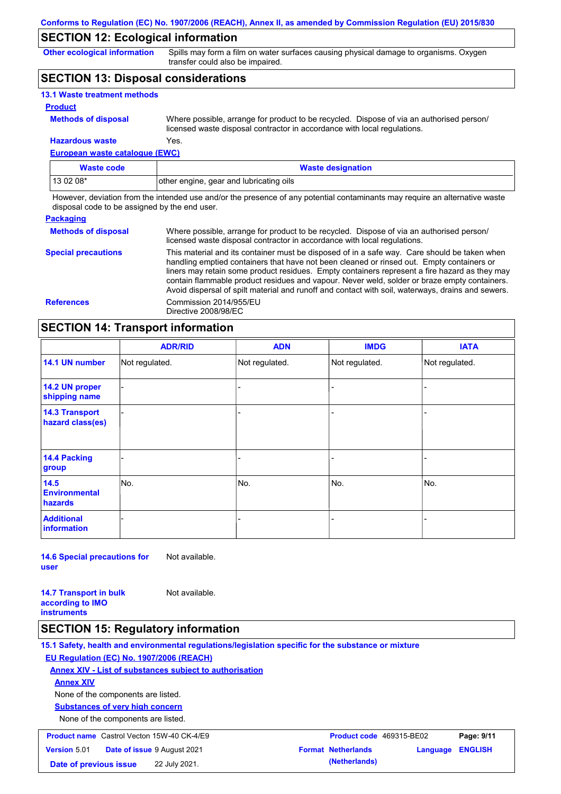## **SECTION 12: Ecological information**

**Other ecological information**

Spills may form a film on water surfaces causing physical damage to organisms. Oxygen transfer could also be impaired.

## **SECTION 13: Disposal considerations**

| <b>13.1 Waste treatment methods</b> |                                                                                                                                                                      |
|-------------------------------------|----------------------------------------------------------------------------------------------------------------------------------------------------------------------|
| <b>Product</b>                      |                                                                                                                                                                      |
| <b>Methods of disposal</b>          | Where possible, arrange for product to be recycled. Dispose of via an authorised person/<br>licensed waste disposal contractor in accordance with local regulations. |
| <b>Hazardous waste</b>              | Yes.                                                                                                                                                                 |

**European waste catalogue (EWC)**

| Waste code | <b>Waste designation</b>                |  |
|------------|-----------------------------------------|--|
| $130208*$  | other engine, gear and lubricating oils |  |

However, deviation from the intended use and/or the presence of any potential contaminants may require an alternative waste disposal code to be assigned by the end user.

#### **Packaging Methods of disposal Special precautions** Where possible, arrange for product to be recycled. Dispose of via an authorised person/ licensed waste disposal contractor in accordance with local regulations. This material and its container must be disposed of in a safe way. Care should be taken when handling emptied containers that have not been cleaned or rinsed out. Empty containers or liners may retain some product residues. Empty containers represent a fire hazard as they may contain flammable product residues and vapour. Never weld, solder or braze empty containers. Avoid dispersal of spilt material and runoff and contact with soil, waterways, drains and sewers. **References** Commission 2014/955/EU Directive 2008/98/EC

## **SECTION 14: Transport information**

|                                           | <b>ADR/RID</b> | <b>ADN</b>     | <b>IMDG</b>    | <b>IATA</b>    |  |  |
|-------------------------------------------|----------------|----------------|----------------|----------------|--|--|
| 14.1 UN number                            | Not regulated. | Not regulated. | Not regulated. | Not regulated. |  |  |
| 14.2 UN proper<br>shipping name           |                |                | -              |                |  |  |
| <b>14.3 Transport</b><br>hazard class(es) |                |                | -              |                |  |  |
| 14.4 Packing<br>group                     |                |                | -              |                |  |  |
| 14.5<br><b>Environmental</b><br>hazards   | No.            | No.            | No.            | No.            |  |  |
| <b>Additional</b><br><b>information</b>   |                |                |                |                |  |  |

**14.6 Special precautions for user** Not available.

**14.7 Transport in bulk according to IMO instruments** Not available.

### **SECTION 15: Regulatory information**

**15.1 Safety, health and environmental regulations/legislation specific for the substance or mixture EU Regulation (EC) No. 1907/2006 (REACH) Annex XIV - List of substances subject to authorisation Substances of very high concern** None of the components are listed. None of the components are listed. **Annex XIV Product name**

| <b>Product name</b> Castrol Vecton 15W-40 CK-4/E9 |  |                                    | <b>Product code</b> 469315-BE02 |                           | Page: 9/11       |  |
|---------------------------------------------------|--|------------------------------------|---------------------------------|---------------------------|------------------|--|
| <b>Version</b> 5.01                               |  | <b>Date of issue 9 August 2021</b> |                                 | <b>Format Netherlands</b> | Language ENGLISH |  |
| Date of previous issue                            |  | 22 July 2021.                      |                                 | (Netherlands)             |                  |  |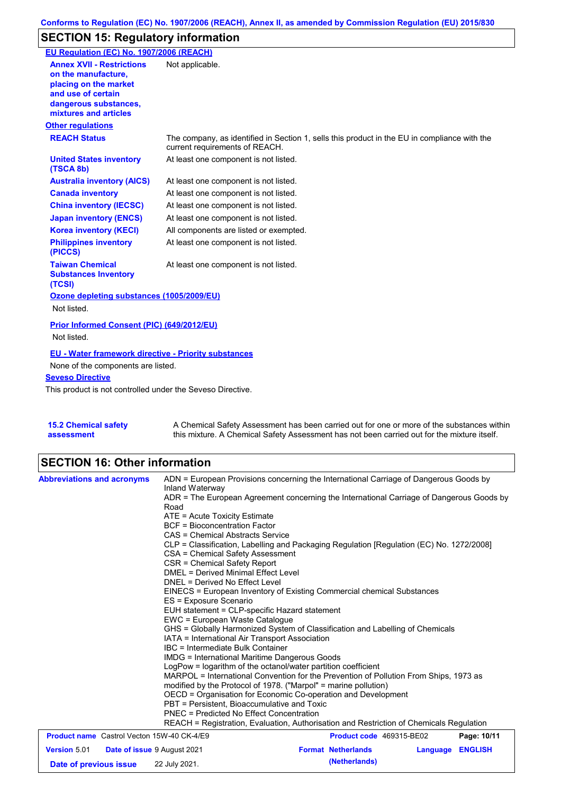## **SECTION 15: Regulatory information**

| EU Regulation (EC) No. 1907/2006 (REACH)                                                                                                                 |                                                                                                                                |
|----------------------------------------------------------------------------------------------------------------------------------------------------------|--------------------------------------------------------------------------------------------------------------------------------|
| <b>Annex XVII - Restrictions</b><br>on the manufacture.<br>placing on the market<br>and use of certain<br>dangerous substances,<br>mixtures and articles | Not applicable.                                                                                                                |
| <b>Other regulations</b>                                                                                                                                 |                                                                                                                                |
| <b>REACH Status</b>                                                                                                                                      | The company, as identified in Section 1, sells this product in the EU in compliance with the<br>current requirements of REACH. |
| <b>United States inventory</b><br>(TSCA 8b)                                                                                                              | At least one component is not listed.                                                                                          |
| <b>Australia inventory (AICS)</b>                                                                                                                        | At least one component is not listed.                                                                                          |
| <b>Canada inventory</b>                                                                                                                                  | At least one component is not listed.                                                                                          |
| <b>China inventory (IECSC)</b>                                                                                                                           | At least one component is not listed.                                                                                          |
| <b>Japan inventory (ENCS)</b>                                                                                                                            | At least one component is not listed.                                                                                          |
| <b>Korea inventory (KECI)</b>                                                                                                                            | All components are listed or exempted.                                                                                         |
| <b>Philippines inventory</b><br>(PICCS)                                                                                                                  | At least one component is not listed.                                                                                          |
| <b>Taiwan Chemical</b><br><b>Substances Inventory</b><br>(TCSI)                                                                                          | At least one component is not listed.                                                                                          |
| Ozone depleting substances (1005/2009/EU)<br>Not listed.                                                                                                 |                                                                                                                                |
| Prior Informed Consent (PIC) (649/2012/EU)<br>Not listed.                                                                                                |                                                                                                                                |
| EU - Water framework directive - Priority substances<br>None of the components are listed.                                                               |                                                                                                                                |
| <b>Seveso Directive</b>                                                                                                                                  |                                                                                                                                |
| This product is not controlled under the Seveso Directive.                                                                                               |                                                                                                                                |

**15.2 Chemical safety assessment** A Chemical Safety Assessment has been carried out for one or more of the substances within this mixture. A Chemical Safety Assessment has not been carried out for the mixture itself.

# **SECTION 16: Other information**

| <b>Abbreviations and acronyms</b>                 | ADN = European Provisions concerning the International Carriage of Dangerous Goods by<br>Inland Waterway                                                                                                                                                                          |                                                                                          |                |  |  |  |
|---------------------------------------------------|-----------------------------------------------------------------------------------------------------------------------------------------------------------------------------------------------------------------------------------------------------------------------------------|------------------------------------------------------------------------------------------|----------------|--|--|--|
|                                                   | Road                                                                                                                                                                                                                                                                              | ADR = The European Agreement concerning the International Carriage of Dangerous Goods by |                |  |  |  |
|                                                   | ATE = Acute Toxicity Estimate                                                                                                                                                                                                                                                     |                                                                                          |                |  |  |  |
|                                                   | <b>BCF</b> = Bioconcentration Factor                                                                                                                                                                                                                                              |                                                                                          |                |  |  |  |
|                                                   | CAS = Chemical Abstracts Service<br>CLP = Classification, Labelling and Packaging Regulation [Regulation (EC) No. 1272/2008]<br>CSA = Chemical Safety Assessment                                                                                                                  |                                                                                          |                |  |  |  |
|                                                   |                                                                                                                                                                                                                                                                                   |                                                                                          |                |  |  |  |
|                                                   |                                                                                                                                                                                                                                                                                   |                                                                                          |                |  |  |  |
|                                                   | <b>DMEL = Derived Minimal Effect Level</b>                                                                                                                                                                                                                                        | CSR = Chemical Safety Report                                                             |                |  |  |  |
|                                                   | DNEL = Derived No Effect Level                                                                                                                                                                                                                                                    |                                                                                          |                |  |  |  |
|                                                   | EINECS = European Inventory of Existing Commercial chemical Substances                                                                                                                                                                                                            |                                                                                          |                |  |  |  |
|                                                   | ES = Exposure Scenario<br>EUH statement = CLP-specific Hazard statement<br>EWC = European Waste Catalogue<br>GHS = Globally Harmonized System of Classification and Labelling of Chemicals<br>IATA = International Air Transport Association<br>IBC = Intermediate Bulk Container |                                                                                          |                |  |  |  |
|                                                   |                                                                                                                                                                                                                                                                                   |                                                                                          |                |  |  |  |
|                                                   |                                                                                                                                                                                                                                                                                   |                                                                                          |                |  |  |  |
|                                                   |                                                                                                                                                                                                                                                                                   |                                                                                          |                |  |  |  |
|                                                   |                                                                                                                                                                                                                                                                                   |                                                                                          |                |  |  |  |
|                                                   |                                                                                                                                                                                                                                                                                   |                                                                                          |                |  |  |  |
|                                                   | IMDG = International Maritime Dangerous Goods<br>LogPow = logarithm of the octanol/water partition coefficient<br>MARPOL = International Convention for the Prevention of Pollution From Ships, 1973 as                                                                           |                                                                                          |                |  |  |  |
|                                                   |                                                                                                                                                                                                                                                                                   |                                                                                          |                |  |  |  |
|                                                   | modified by the Protocol of 1978. ("Marpol" = marine pollution)<br>OECD = Organisation for Economic Co-operation and Development<br>PBT = Persistent, Bioaccumulative and Toxic                                                                                                   |                                                                                          |                |  |  |  |
|                                                   |                                                                                                                                                                                                                                                                                   |                                                                                          |                |  |  |  |
|                                                   |                                                                                                                                                                                                                                                                                   |                                                                                          |                |  |  |  |
|                                                   | PNEC = Predicted No Effect Concentration                                                                                                                                                                                                                                          |                                                                                          |                |  |  |  |
|                                                   |                                                                                                                                                                                                                                                                                   | REACH = Registration, Evaluation, Authorisation and Restriction of Chemicals Regulation  |                |  |  |  |
| <b>Product name</b> Castrol Vecton 15W-40 CK-4/E9 |                                                                                                                                                                                                                                                                                   | Product code 469315-BE02                                                                 | Page: 10/11    |  |  |  |
| <b>Version 5.01</b>                               | Date of issue 9 August 2021                                                                                                                                                                                                                                                       | <b>Format Netherlands</b><br>Language                                                    | <b>ENGLISH</b> |  |  |  |
| Date of previous issue                            | 22 July 2021.                                                                                                                                                                                                                                                                     | (Netherlands)                                                                            |                |  |  |  |